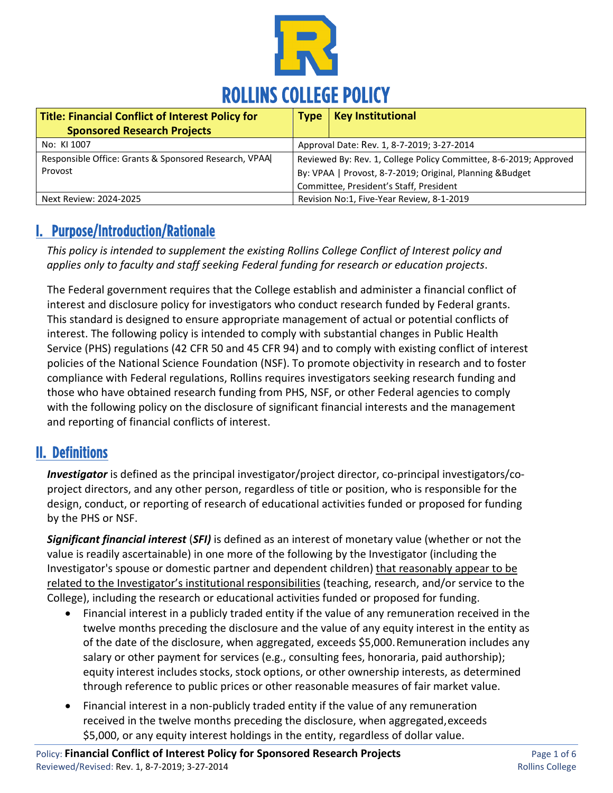

| Title: Financial Conflict of Interest Policy for                 | <b>Type</b>                                                                                                                    | <b>Key Institutional</b> |
|------------------------------------------------------------------|--------------------------------------------------------------------------------------------------------------------------------|--------------------------|
| <b>Sponsored Research Projects</b>                               |                                                                                                                                |                          |
| No: KI 1007                                                      | Approval Date: Rev. 1, 8-7-2019; 3-27-2014                                                                                     |                          |
| Responsible Office: Grants & Sponsored Research, VPAA<br>Provost | Reviewed By: Rev. 1, College Policy Committee, 8-6-2019; Approved<br>By: VPAA   Provost, 8-7-2019; Original, Planning & Budget |                          |
|                                                                  | Committee, President's Staff, President                                                                                        |                          |
| Next Review: 2024-2025                                           | Revision No:1, Five-Year Review, 8-1-2019                                                                                      |                          |

# I. Purpose/Introduction/Rationale

*This policy is intended to supplement the existing Rollins College Conflict of Interest policy and applies only to faculty and staff seeking Federal funding for research or education projects*.

The Federal government requires that the College establish and administer a financial conflict of interest and disclosure policy for investigators who conduct research funded by Federal grants. This standard is designed to ensure appropriate management of actual or potential conflicts of interest. The following policy is intended to comply with substantial changes in Public Health Service (PHS) regulations (42 CFR 50 and 45 CFR 94) and to comply with existing conflict of interest policies of the National Science Foundation (NSF). To promote objectivity in research and to foster compliance with Federal regulations, Rollins requires investigators seeking research funding and those who have obtained research funding from PHS, NSF, or other Federal agencies to comply with the following policy on the disclosure of significant financial interests and the management and reporting of financial conflicts of interest.

## II. Definitions

*Investigator* is defined as the principal investigator/project director, co-principal investigators/coproject directors, and any other person, regardless of title or position, who is responsible for the design, conduct, or reporting of research of educational activities funded or proposed for funding by the PHS or NSF.

*Significant financial interest* (*SFI)* is defined as an interest of monetary value (whether or not the value is readily ascertainable) in one more of the following by the Investigator (including the Investigator's spouse or domestic partner and dependent children) that reasonably appear to be related to the Investigator's institutional responsibilities (teaching, research, and/or service to the College), including the research or educational activities funded or proposed for funding.

- Financial interest in a publicly traded entity if the value of any remuneration received in the twelve months preceding the disclosure and the value of any equity interest in the entity as of the date of the disclosure, when aggregated, exceeds \$5,000.Remuneration includes any salary or other payment for services (e.g., consulting fees, honoraria, paid authorship); equity interest includes stocks, stock options, or other ownership interests, as determined through reference to public prices or other reasonable measures of fair market value.
- Financial interest in a non-publicly traded entity if the value of any remuneration received in the twelve months preceding the disclosure, when aggregated,exceeds \$5,000, or any equity interest holdings in the entity, regardless of dollar value.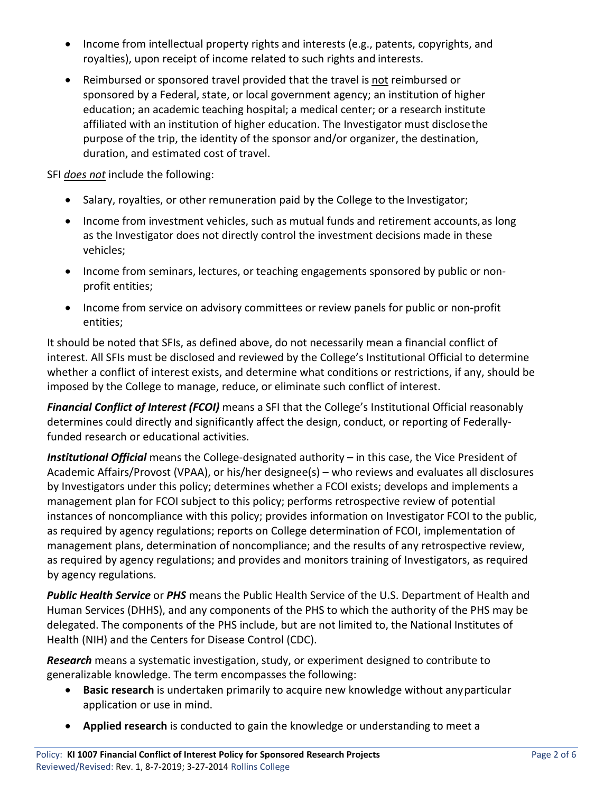- Income from intellectual property rights and interests (e.g., patents, copyrights, and royalties), upon receipt of income related to such rights and interests.
- Reimbursed or sponsored travel provided that the travel is not reimbursed or sponsored by a Federal, state, or local government agency; an institution of higher education; an academic teaching hospital; a medical center; or a research institute affiliated with an institution of higher education. The Investigator must disclosethe purpose of the trip, the identity of the sponsor and/or organizer, the destination, duration, and estimated cost of travel.

SFI *does not* include the following:

- Salary, royalties, or other remuneration paid by the College to the Investigator;
- Income from investment vehicles, such as mutual funds and retirement accounts, as long as the Investigator does not directly control the investment decisions made in these vehicles;
- Income from seminars, lectures, or teaching engagements sponsored by public or nonprofit entities;
- Income from service on advisory committees or review panels for public or non-profit entities;

It should be noted that SFIs, as defined above, do not necessarily mean a financial conflict of interest. All SFIs must be disclosed and reviewed by the College's Institutional Official to determine whether a conflict of interest exists, and determine what conditions or restrictions, if any, should be imposed by the College to manage, reduce, or eliminate such conflict of interest.

*Financial Conflict of Interest (FCOI)* means a SFI that the College's Institutional Official reasonably determines could directly and significantly affect the design, conduct, or reporting of Federallyfunded research or educational activities.

*Institutional Official* means the College-designated authority – in this case, the Vice President of Academic Affairs/Provost (VPAA), or his/her designee(s) – who reviews and evaluates all disclosures by Investigators under this policy; determines whether a FCOI exists; develops and implements a management plan for FCOI subject to this policy; performs retrospective review of potential instances of noncompliance with this policy; provides information on Investigator FCOI to the public, as required by agency regulations; reports on College determination of FCOI, implementation of management plans, determination of noncompliance; and the results of any retrospective review, as required by agency regulations; and provides and monitors training of Investigators, as required by agency regulations.

*Public Health Service* or *PHS* means the Public Health Service of the U.S. Department of Health and Human Services (DHHS), and any components of the PHS to which the authority of the PHS may be delegated. The components of the PHS include, but are not limited to, the National Institutes of Health (NIH) and the Centers for Disease Control (CDC).

*Research* means a systematic investigation, study, or experiment designed to contribute to generalizable knowledge. The term encompasses the following:

- **Basic research** is undertaken primarily to acquire new knowledge without anyparticular application or use in mind.
- **Applied research** is conducted to gain the knowledge or understanding to meet a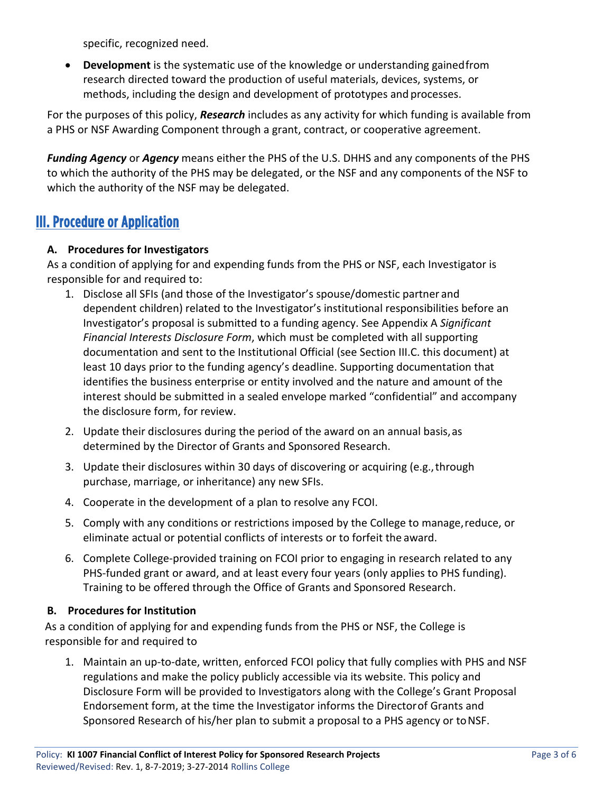specific, recognized need.

• **Development** is the systematic use of the knowledge or understanding gainedfrom research directed toward the production of useful materials, devices, systems, or methods, including the design and development of prototypes and processes.

For the purposes of this policy, *Research* includes as any activity for which funding is available from a PHS or NSF Awarding Component through a grant, contract, or cooperative agreement.

*Funding Agency* or *Agency* means either the PHS of the U.S. DHHS and any components of the PHS to which the authority of the PHS may be delegated, or the NSF and any components of the NSF to which the authority of the NSF may be delegated.

### III. Procedure or Application

#### **A. Procedures for Investigators**

As a condition of applying for and expending funds from the PHS or NSF, each Investigator is responsible for and required to:

- 1. Disclose all SFIs (and those of the Investigator's spouse/domestic partner and dependent children) related to the Investigator's institutional responsibilities before an Investigator's proposal is submitted to a funding agency. See Appendix A *Significant Financial Interests Disclosure Form*, which must be completed with all supporting documentation and sent to the Institutional Official (see Section III.C. this document) at least 10 days prior to the funding agency's deadline. Supporting documentation that identifies the business enterprise or entity involved and the nature and amount of the interest should be submitted in a sealed envelope marked "confidential" and accompany the disclosure form, for review.
- 2. Update their disclosures during the period of the award on an annual basis,as determined by the Director of Grants and Sponsored Research.
- 3. Update their disclosures within 30 days of discovering or acquiring (e.g.,through purchase, marriage, or inheritance) any new SFIs.
- 4. Cooperate in the development of a plan to resolve any FCOI.
- 5. Comply with any conditions or restrictions imposed by the College to manage,reduce, or eliminate actual or potential conflicts of interests or to forfeit the award.
- 6. Complete College-provided training on FCOI prior to engaging in research related to any PHS-funded grant or award, and at least every four years (only applies to PHS funding). Training to be offered through the Office of Grants and Sponsored Research.

#### **B. Procedures for Institution**

As a condition of applying for and expending funds from the PHS or NSF, the College is responsible for and required to

1. Maintain an up-to-date, written, enforced FCOI policy that fully complies with PHS and NSF regulations and make the policy publicly accessible via its website. This policy and Disclosure Form will be provided to Investigators along with the College's Grant Proposal Endorsement form, at the time the Investigator informs the Directorof Grants and Sponsored Research of his/her plan to submit a proposal to a PHS agency or to NSF.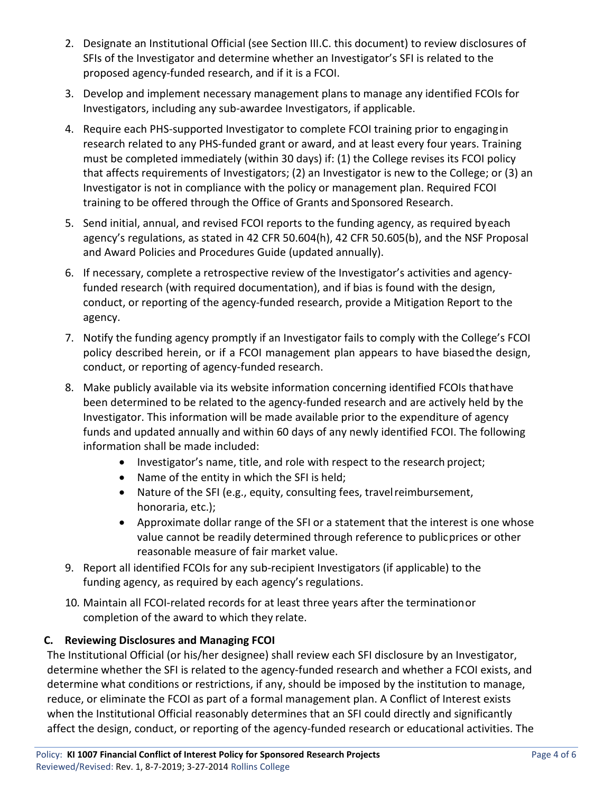- 2. Designate an Institutional Official (see Section III.C. this document) to review disclosures of SFIs of the Investigator and determine whether an Investigator's SFI is related to the proposed agency-funded research, and if it is a FCOI.
- 3. Develop and implement necessary management plans to manage any identified FCOIs for Investigators, including any sub-awardee Investigators, if applicable.
- 4. Require each PHS-supported Investigator to complete FCOI training prior to engagingin research related to any PHS-funded grant or award, and at least every four years. Training must be completed immediately (within 30 days) if: (1) the College revises its FCOI policy that affects requirements of Investigators; (2) an Investigator is new to the College; or (3) an Investigator is not in compliance with the policy or management plan. Required FCOI training to be offered through the Office of Grants and Sponsored Research.
- 5. Send initial, annual, and revised FCOI reports to the funding agency, as required byeach agency's regulations, as stated in 42 CFR 50.604(h), 42 CFR 50.605(b), and the NSF Proposal and Award Policies and Procedures Guide (updated annually).
- 6. If necessary, complete a retrospective review of the Investigator's activities and agencyfunded research (with required documentation), and if bias is found with the design, conduct, or reporting of the agency-funded research, provide a Mitigation Report to the agency.
- 7. Notify the funding agency promptly if an Investigator fails to comply with the College's FCOI policy described herein, or if a FCOI management plan appears to have biasedthe design, conduct, or reporting of agency-funded research.
- 8. Make publicly available via its website information concerning identified FCOIs thathave been determined to be related to the agency-funded research and are actively held by the Investigator. This information will be made available prior to the expenditure of agency funds and updated annually and within 60 days of any newly identified FCOI. The following information shall be made included:
	- Investigator's name, title, and role with respect to the research project;
	- Name of the entity in which the SFI is held;
	- Nature of the SFI (e.g., equity, consulting fees, travelreimbursement, honoraria, etc.);
	- Approximate dollar range of the SFI or a statement that the interest is one whose value cannot be readily determined through reference to publicprices or other reasonable measure of fair market value.
- 9. Report all identified FCOIs for any sub-recipient Investigators (if applicable) to the funding agency, as required by each agency's regulations.
- 10. Maintain all FCOI-related records for at least three years after the terminationor completion of the award to which they relate.

#### **C. Reviewing Disclosures and Managing FCOI**

The Institutional Official (or his/her designee) shall review each SFI disclosure by an Investigator, determine whether the SFI is related to the agency-funded research and whether a FCOI exists, and determine what conditions or restrictions, if any, should be imposed by the institution to manage, reduce, or eliminate the FCOI as part of a formal management plan. A Conflict of Interest exists when the Institutional Official reasonably determines that an SFI could directly and significantly affect the design, conduct, or reporting of the agency-funded research or educational activities. The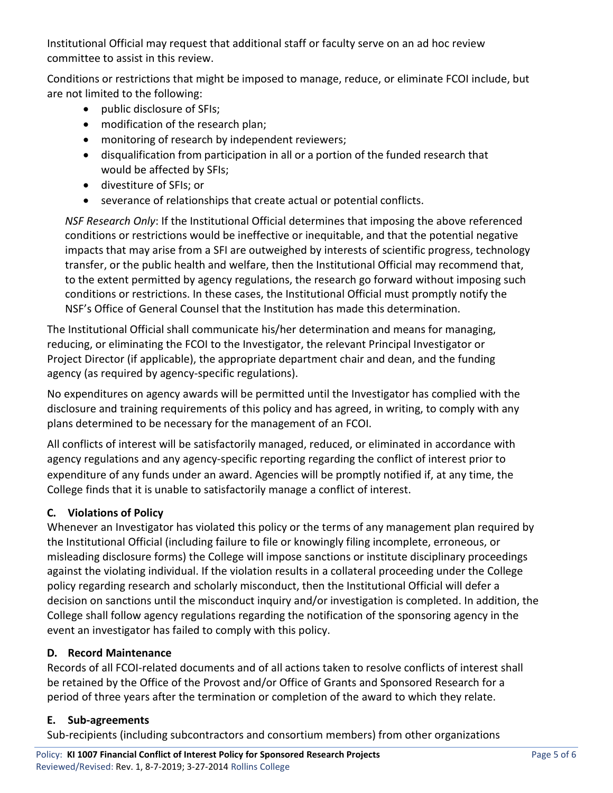Institutional Official may request that additional staff or faculty serve on an ad hoc review committee to assist in this review.

Conditions or restrictions that might be imposed to manage, reduce, or eliminate FCOI include, but are not limited to the following:

- public disclosure of SFIs;
- modification of the research plan;
- monitoring of research by independent reviewers;
- disqualification from participation in all or a portion of the funded research that would be affected by SFIs;
- divestiture of SFIs; or
- severance of relationships that create actual or potential conflicts.

*NSF Research Only*: If the Institutional Official determines that imposing the above referenced conditions or restrictions would be ineffective or inequitable, and that the potential negative impacts that may arise from a SFI are outweighed by interests of scientific progress, technology transfer, or the public health and welfare, then the Institutional Official may recommend that, to the extent permitted by agency regulations, the research go forward without imposing such conditions or restrictions. In these cases, the Institutional Official must promptly notify the NSF's Office of General Counsel that the Institution has made this determination.

The Institutional Official shall communicate his/her determination and means for managing, reducing, or eliminating the FCOI to the Investigator, the relevant Principal Investigator or Project Director (if applicable), the appropriate department chair and dean, and the funding agency (as required by agency-specific regulations).

No expenditures on agency awards will be permitted until the Investigator has complied with the disclosure and training requirements of this policy and has agreed, in writing, to comply with any plans determined to be necessary for the management of an FCOI.

All conflicts of interest will be satisfactorily managed, reduced, or eliminated in accordance with agency regulations and any agency-specific reporting regarding the conflict of interest prior to expenditure of any funds under an award. Agencies will be promptly notified if, at any time, the College finds that it is unable to satisfactorily manage a conflict of interest.

### **C. Violations of Policy**

Whenever an Investigator has violated this policy or the terms of any management plan required by the Institutional Official (including failure to file or knowingly filing incomplete, erroneous, or misleading disclosure forms) the College will impose sanctions or institute disciplinary proceedings against the violating individual. If the violation results in a collateral proceeding under the College policy regarding research and scholarly misconduct, then the Institutional Official will defer a decision on sanctions until the misconduct inquiry and/or investigation is completed. In addition, the College shall follow agency regulations regarding the notification of the sponsoring agency in the event an investigator has failed to comply with this policy.

### **D. Record Maintenance**

Records of all FCOI-related documents and of all actions taken to resolve conflicts of interest shall be retained by the Office of the Provost and/or Office of Grants and Sponsored Research for a period of three years after the termination or completion of the award to which they relate.

#### **E. Sub-agreements**

Sub-recipients (including subcontractors and consortium members) from other organizations